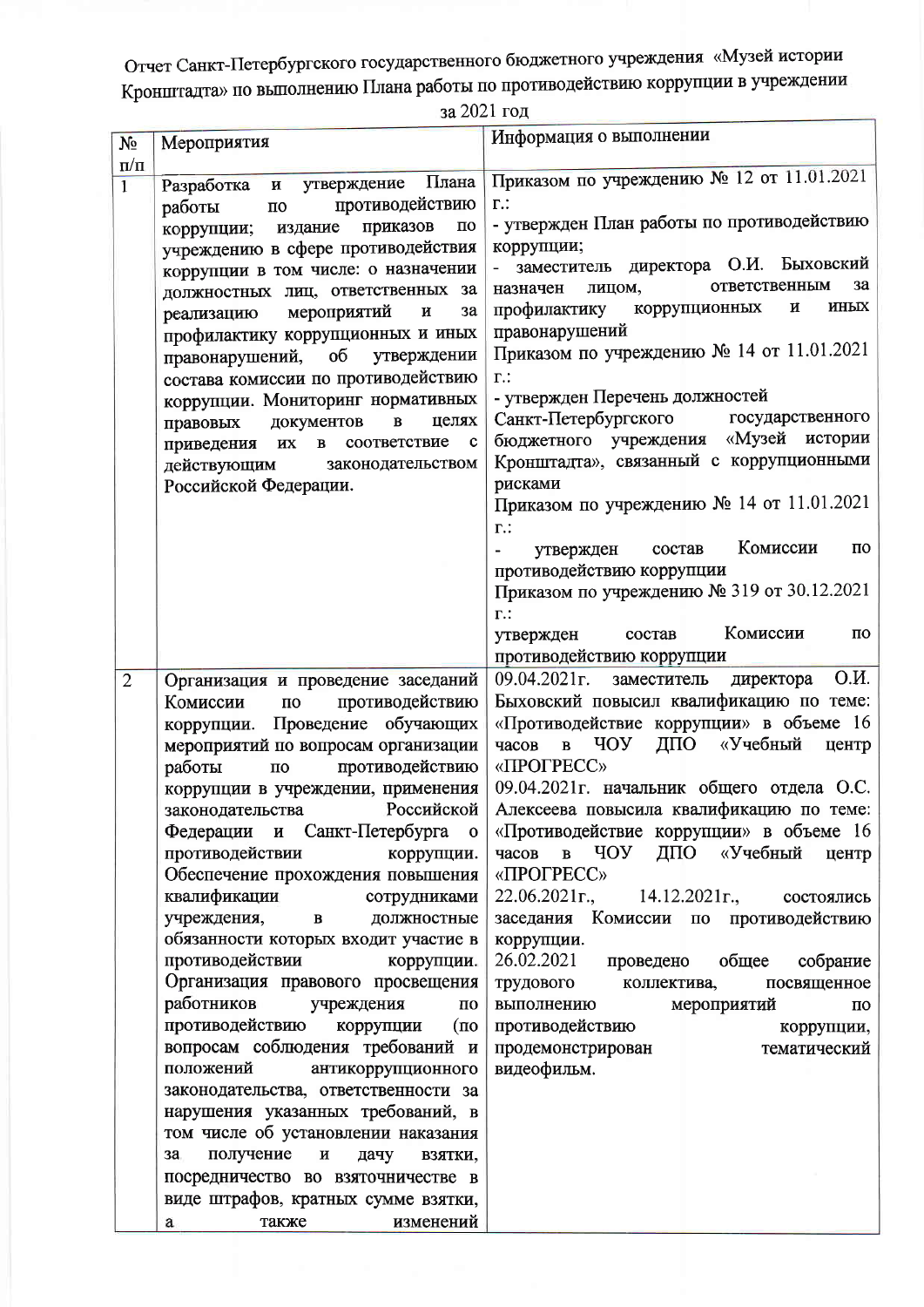Отчет Санкт-Петербургского государственного бюджетного учреждения «Музей истории Кронштадта» по выполнению Плана работы по противодействию коррупции в учреждении

за 2021 год

| $N_2$                     | Мероприятия                                                                                                                                                                                                                                                                                                                                                                                                                                                                                                                                                                                                                                                                                                                                                                                                                                                                                                                                                                                                 | Информация о выполнении                                                                                                                                                                                                                                                                                                                                                                                                                                                                                                                                                                                                                                                                                                                                                                      |
|---------------------------|-------------------------------------------------------------------------------------------------------------------------------------------------------------------------------------------------------------------------------------------------------------------------------------------------------------------------------------------------------------------------------------------------------------------------------------------------------------------------------------------------------------------------------------------------------------------------------------------------------------------------------------------------------------------------------------------------------------------------------------------------------------------------------------------------------------------------------------------------------------------------------------------------------------------------------------------------------------------------------------------------------------|----------------------------------------------------------------------------------------------------------------------------------------------------------------------------------------------------------------------------------------------------------------------------------------------------------------------------------------------------------------------------------------------------------------------------------------------------------------------------------------------------------------------------------------------------------------------------------------------------------------------------------------------------------------------------------------------------------------------------------------------------------------------------------------------|
| $\Pi/\Pi$<br>$\mathbf{1}$ | Разработка и утверждение Плана<br>противодействию<br>работы<br>$\Pi{\rm O}$<br>приказов<br>$\Pi\mho$<br>издание<br>коррупции;<br>учреждению в сфере противодействия<br>коррупции в том числе: о назначении<br>должностных лиц, ответственных за<br>мероприятий<br>И<br>3a<br>реализацию<br>профилактику коррупционных и иных<br>утверждении<br>правонарушений, об<br>состава комиссии по противодействию<br>коррупции. Мониторинг нормативных<br>$\, {\bf B}$<br>документов<br>целях<br>правовых<br>приведения их в соответствие<br>$\mathbf c$<br>законодательством<br>действующим<br>Российской Федерации.                                                                                                                                                                                                                                                                                                                                                                                                | Приказом по учреждению № 12 от 11.01.2021<br>$\Gamma$ .:<br>- утвержден План работы по противодействию<br>коррупции;<br>заместитель директора О.И. Быховский<br>ответственным<br>3a<br>лицом,<br>назначен<br>ИНЫХ<br>профилактику коррупционных<br>И<br>правонарушений<br>Приказом по учреждению № 14 от 11.01.2021<br>$\Gamma$ .:<br>- утвержден Перечень должностей<br>государственного<br>Санкт-Петербургского<br>бюджетного учреждения «Музей истории<br>Кронштадта», связанный с коррупционными<br>рисками<br>Приказом по учреждению № 14 от 11.01.2021<br>$\Gamma$ .:<br>Комиссии<br>по<br>состав<br>утвержден<br>$\qquad \qquad \blacksquare$<br>противодействию коррупции<br>Приказом по учреждению № 319 от 30.12.2021<br>$\Gamma$ .:<br>Комиссии<br>$\Pi$ O<br>состав<br>утвержден |
| $\overline{2}$            | Организация и проведение заседаний<br>противодействию<br>Комиссии<br>$\mathbf{u}$<br>коррупции. Проведение обучающих<br>мероприятий по вопросам организации<br>противодействию<br>работы<br>$\Pi{\bf O}$<br>коррупции в учреждении, применения<br>Российской<br>законодательства<br>Федерации и Санкт-Петербурга о<br>противодействии<br>коррупции.<br>Обеспечение прохождения повышения<br>квалификации<br>сотрудниками<br>учреждения,<br>$\, {\bf B}$<br>должностные<br>обязанности которых входит участие в<br>противодействии<br>коррупции.<br>Организация правового просвещения<br>работников<br>учреждения<br>по<br>противодействию<br>коррупции<br>(n)<br>вопросам соблюдения требований и<br>положений<br>антикоррупционного<br>законодательства, ответственности за<br>нарушения указанных требований, в<br>том числе об установлении наказания<br>получение<br>И<br>дачу<br>3a<br>взятки,<br>посредничество во взяточничестве в<br>виде штрафов, кратных сумме взятки,<br>также<br>изменений<br>a | противодействию коррупции<br>O.H.<br>$09.04.2021$ r.<br>заместитель директора<br>Быховский повысил квалификацию по теме:<br>«Противодействие коррупции» в объеме 16<br>в ЧОУ<br>ДПО «Учебный<br>часов<br>центр<br>«ПРОГРЕСС»<br>09.04.2021 г. начальник общего отдела О.С.<br>Алексеева повысила квалификацию по теме:<br>«Противодействие коррупции» в объеме 16<br>ДПО «Учебный<br>в ЧОУ<br>часов<br>центр<br>«ПРОГРЕСС»<br>14.12.2021r.,<br>22.06.2021r.,<br>состоялись<br>заседания Комиссии по противодействию<br>коррупции.<br>26.02.2021<br>общее<br>проведено<br>собрание<br>трудового<br>посвященное<br>коллектива,<br>мероприятий<br>выполнению<br>$\mathbf{u}$<br>противодействию<br>коррупции,<br>продемонстрирован<br>тематический<br>видеофильм.                               |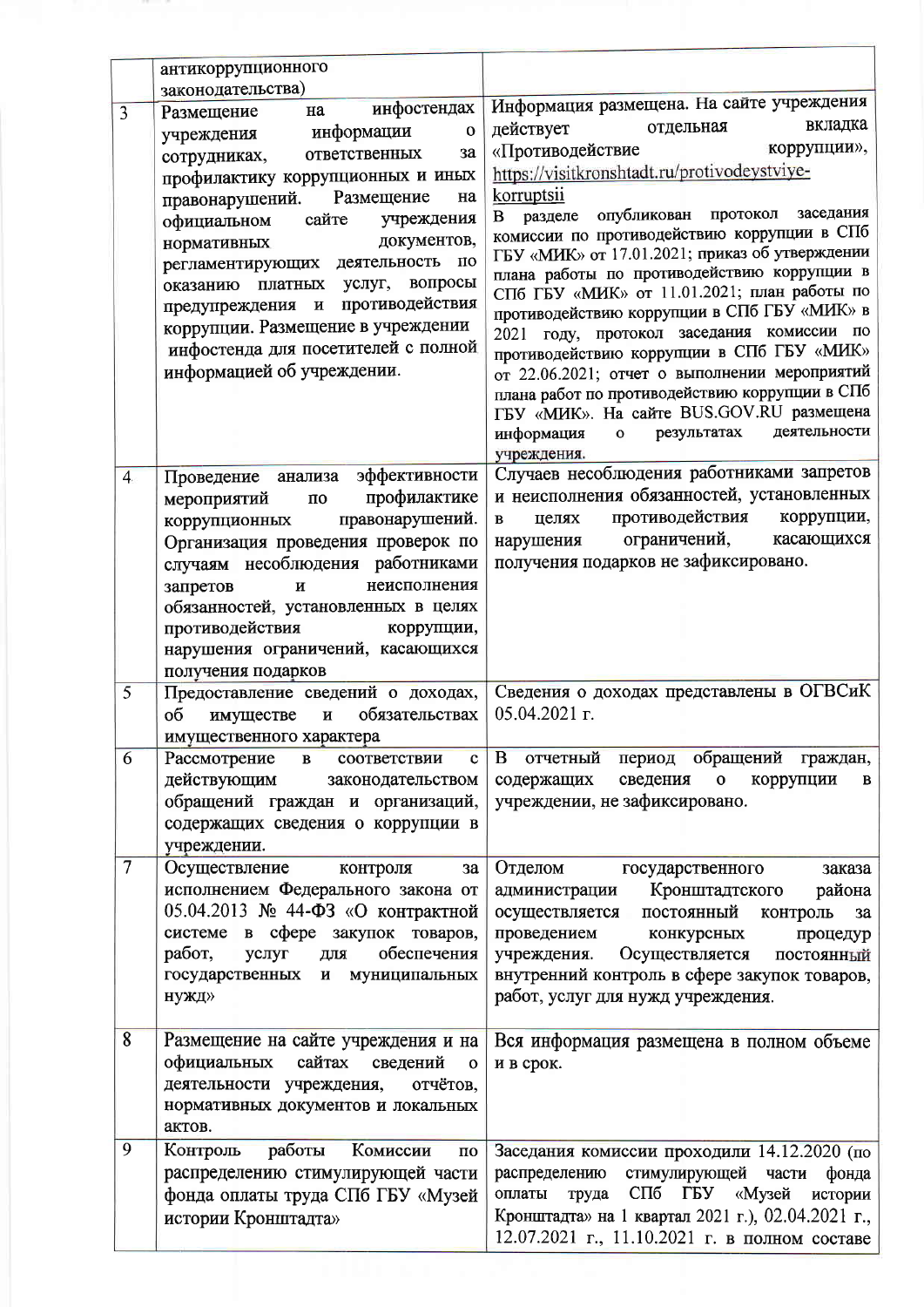|                | антикоррупционного                                         |                                                                                               |
|----------------|------------------------------------------------------------|-----------------------------------------------------------------------------------------------|
|                | законодательства)                                          |                                                                                               |
| $\overline{3}$ | Размещение<br>на                                           | инфостендах   Информация размещена. На сайте учреждения<br>вкладка                            |
|                | учреждения информации<br>$\mathbf{o}$                      | отдельная<br>действует                                                                        |
|                | ответственных<br>3a<br>сотрудниках,                        | коррупции»,<br>«Противодействие                                                               |
|                | профилактику коррупционных и иных                          | https://visitkronshtadt.ru/protivodeystviye-                                                  |
|                | Размещение<br>правонарушений.<br>на                        | korruptsii                                                                                    |
|                | официальном сайте учреждения                               | опубликован протокол заседания<br>разделе<br>B<br>комиссии по противодействию коррупции в СПб |
|                | документов,<br>нормативных                                 | ГБУ «МИК» от 17.01.2021; приказ об утверждении                                                |
|                | регламентирующих деятельность по                           | плана работы по противодействию коррупции в                                                   |
|                | оказанию платных услуг, вопросы                            | СПб ГБУ «МИК» от 11.01.2021; план работы по                                                   |
|                | предупреждения и противодействия                           | противодействию коррупции в СПб ГБУ «МИК» в                                                   |
|                | коррупции. Размещение в учреждении                         | 2021 году, протокол заседания комиссии по                                                     |
|                | инфостенда для посетителей с полной                        | противодействию коррупции в СПб ГБУ «МИК»                                                     |
|                | информацией об учреждении.                                 | от 22.06.2021; отчет о выполнении мероприятий                                                 |
|                |                                                            | плана работ по противодействию коррупции в СПб                                                |
|                |                                                            | ГБУ «МИК». На сайте BUS.GOV.RU размещена<br>деятельности                                      |
|                |                                                            | информация<br>результатах<br>$\mathbf{o}$                                                     |
|                | Проведение анализа эффективности                           | учреждения.<br>Случаев несоблюдения работниками запретов                                      |
| $\overline{4}$ | профилактике<br>мероприятий<br>$\mathbf{u}$                | и неисполнения обязанностей, установленных                                                    |
|                | правонарушений.<br>коррупционных                           | целях противодействия коррупции,<br>$\mathbf{B}$                                              |
|                | Организация проведения проверок по                         | ограничений,<br>касающихся<br>нарушения                                                       |
|                | случаям несоблюдения работниками                           | получения подарков не зафиксировано.                                                          |
|                | неисполнения<br>запретов<br>И                              |                                                                                               |
|                | обязанностей, установленных в целях                        |                                                                                               |
|                | противодействия<br>коррупции,                              |                                                                                               |
|                | нарушения ограничений, касающихся                          |                                                                                               |
|                | получения подарков                                         |                                                                                               |
| $\overline{5}$ | Предоставление сведений о доходах,                         | Сведения о доходах представлены в ОГВСиК                                                      |
|                | обязательствах<br>имуществе и<br>об                        | 05.04.2021 г.                                                                                 |
|                | имущественного характера                                   |                                                                                               |
| 6              | Рассмотрение<br>соответствии<br>$\, {\bf B} \,$<br>c       | В отчетный период обращений граждан,                                                          |
|                | действующим<br>законодательством                           | сведения<br>$\mathbf O$<br>коррупции<br>содержащих<br>B                                       |
|                | обращений граждан и организаций,                           | учреждении, не зафиксировано.                                                                 |
|                | содержащих сведения о коррупции в                          |                                                                                               |
|                | учреждении.                                                |                                                                                               |
| $\overline{7}$ | Осуществление<br>контроля<br>3a                            | Отделом<br>государственного<br>заказа                                                         |
|                | исполнением Федерального закона от                         | администрации Кронштадтского<br>района                                                        |
|                | 05.04.2013 № 44-ФЗ «О контрактной                          | осуществляется<br>постоянный<br>контроль<br>3a                                                |
|                | в сфере закупок товаров,<br>системе                        | проведением<br>конкурсных<br>процедур                                                         |
|                | работ,<br>обеспечения<br>услуг<br>для<br>государственных и | Осуществляется<br>учреждения.<br>постоянный                                                   |
|                | муниципальных<br>нужд»                                     | внутренний контроль в сфере закупок товаров,<br>работ, услуг для нужд учреждения.             |
|                |                                                            |                                                                                               |
| $\sqrt{8}$     | Размещение на сайте учреждения и на                        | Вся информация размещена в полном объеме                                                      |
|                | официальных сайтах<br>сведений<br>$\mathbf{o}$             | и в срок.                                                                                     |
|                | деятельности учреждения,<br>отчётов,                       |                                                                                               |
|                | нормативных документов и локальных                         |                                                                                               |
|                | актов.                                                     |                                                                                               |
| 9              | Контроль<br>работы<br>Комиссии<br>$\overline{a}$           | Заседания комиссии проходили 14.12.2020 (по                                                   |
|                | распределению стимулирующей части                          | стимулирующей части<br>распределению<br>фонда                                                 |
|                | фонда оплаты труда СПб ГБУ «Музей                          | СПб ГБУ «Музей истории<br>оплаты труда                                                        |
|                | истории Кронштадта»                                        | Кронштадта» на 1 квартал 2021 г.), 02.04.2021 г.,                                             |
|                |                                                            | 12.07.2021 г., 11.10.2021 г. в полном составе                                                 |